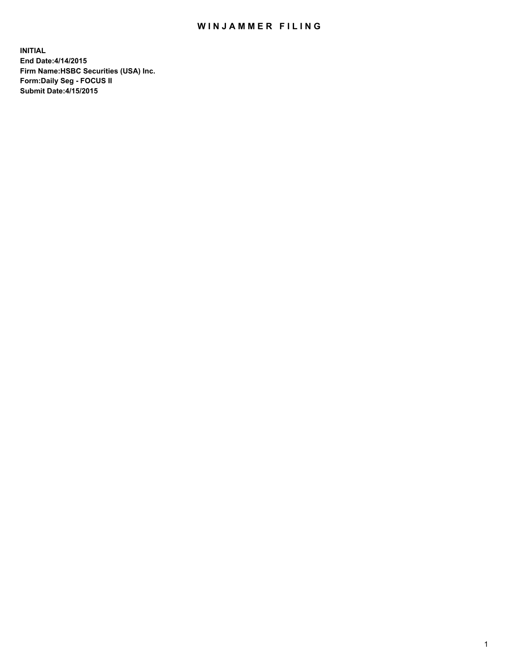## WIN JAMMER FILING

**INITIAL End Date:4/14/2015 Firm Name:HSBC Securities (USA) Inc. Form:Daily Seg - FOCUS II Submit Date:4/15/2015**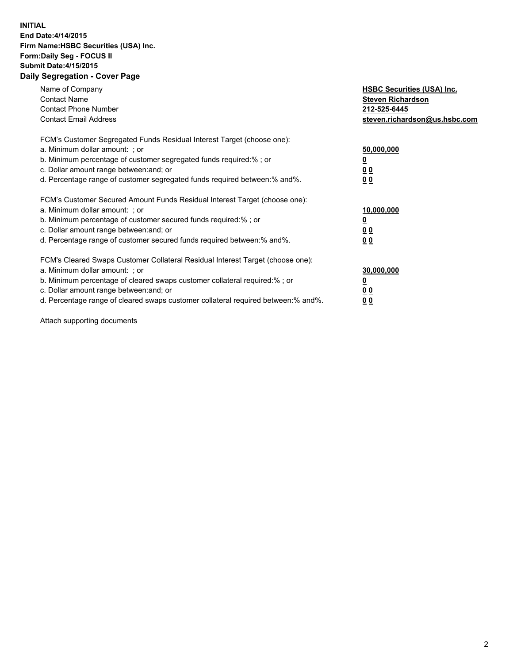## **INITIAL End Date:4/14/2015 Firm Name:HSBC Securities (USA) Inc. Form:Daily Seg - FOCUS II Submit Date:4/15/2015 Daily Segregation - Cover Page**

| Name of Company<br><b>Contact Name</b><br><b>Contact Phone Number</b><br><b>Contact Email Address</b>                                                                                                                                                                                                                          | <b>HSBC Securities (USA) Inc.</b><br><b>Steven Richardson</b><br>212-525-6445<br>steven.richardson@us.hsbc.com |
|--------------------------------------------------------------------------------------------------------------------------------------------------------------------------------------------------------------------------------------------------------------------------------------------------------------------------------|----------------------------------------------------------------------------------------------------------------|
| FCM's Customer Segregated Funds Residual Interest Target (choose one):<br>a. Minimum dollar amount: ; or<br>b. Minimum percentage of customer segregated funds required:%; or<br>c. Dollar amount range between: and; or<br>d. Percentage range of customer segregated funds required between: % and %.                        | 50,000,000<br>0 <sub>0</sub><br>0 <sub>0</sub>                                                                 |
| FCM's Customer Secured Amount Funds Residual Interest Target (choose one):<br>a. Minimum dollar amount: ; or<br>b. Minimum percentage of customer secured funds required:%; or<br>c. Dollar amount range between: and; or<br>d. Percentage range of customer secured funds required between:% and%.                            | 10,000,000<br><u>0</u><br>0 <sub>0</sub><br>0 <sub>0</sub>                                                     |
| FCM's Cleared Swaps Customer Collateral Residual Interest Target (choose one):<br>a. Minimum dollar amount: ; or<br>b. Minimum percentage of cleared swaps customer collateral required:% ; or<br>c. Dollar amount range between: and; or<br>d. Percentage range of cleared swaps customer collateral required between:% and%. | 30,000,000<br>00<br><u>00</u>                                                                                  |

Attach supporting documents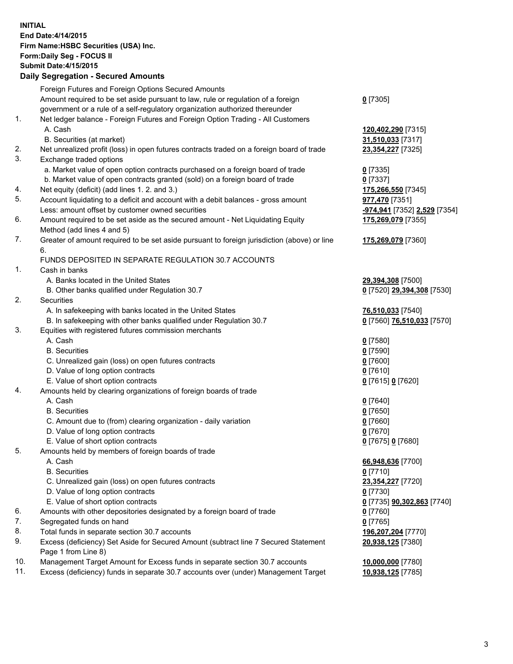**INITIAL End Date:4/14/2015 Firm Name:HSBC Securities (USA) Inc. Form:Daily Seg - FOCUS II Submit Date:4/15/2015 Daily Segregation - Secured Amounts**

Foreign Futures and Foreign Options Secured Amounts Amount required to be set aside pursuant to law, rule or regulation of a foreign government or a rule of a self-regulatory organization authorized thereunder **0** [7305] 1. Net ledger balance - Foreign Futures and Foreign Option Trading - All Customers A. Cash **120,402,290** [7315] B. Securities (at market) **31,510,033** [7317] 2. Net unrealized profit (loss) in open futures contracts traded on a foreign board of trade **23,354,227** [7325] 3. Exchange traded options a. Market value of open option contracts purchased on a foreign board of trade **0** [7335] b. Market value of open contracts granted (sold) on a foreign board of trade **0** [7337] 4. Net equity (deficit) (add lines 1. 2. and 3.) **175,266,550** [7345] 5. Account liquidating to a deficit and account with a debit balances - gross amount **977,470** [7351] Less: amount offset by customer owned securities **-974,941** [7352] **2,529** [7354] 6. Amount required to be set aside as the secured amount - Net Liquidating Equity Method (add lines 4 and 5) **175,269,079** [7355] 7. Greater of amount required to be set aside pursuant to foreign jurisdiction (above) or line 6. **175,269,079** [7360] FUNDS DEPOSITED IN SEPARATE REGULATION 30.7 ACCOUNTS 1. Cash in banks A. Banks located in the United States **29,394,308** [7500] B. Other banks qualified under Regulation 30.7 **0** [7520] **29,394,308** [7530] 2. Securities A. In safekeeping with banks located in the United States **76,510,033** [7540] B. In safekeeping with other banks qualified under Regulation 30.7 **0** [7560] **76,510,033** [7570] 3. Equities with registered futures commission merchants A. Cash **0** [7580] B. Securities **0** [7590] C. Unrealized gain (loss) on open futures contracts **0** [7600] D. Value of long option contracts **0** [7610] E. Value of short option contracts **0** [7615] **0** [7620] 4. Amounts held by clearing organizations of foreign boards of trade A. Cash **0** [7640] B. Securities **0** [7650] C. Amount due to (from) clearing organization - daily variation **0** [7660] D. Value of long option contracts **0** [7670] E. Value of short option contracts **0** [7675] **0** [7680] 5. Amounts held by members of foreign boards of trade A. Cash **66,948,636** [7700] B. Securities **0** [7710] C. Unrealized gain (loss) on open futures contracts **23,354,227** [7720] D. Value of long option contracts **0** [7730] E. Value of short option contracts **0** [7735] **90,302,863** [7740] 6. Amounts with other depositories designated by a foreign board of trade **0** [7760] 7. Segregated funds on hand **0** [7765] 8. Total funds in separate section 30.7 accounts **196,207,204** [7770] 9. Excess (deficiency) Set Aside for Secured Amount (subtract line 7 Secured Statement Page 1 from Line 8) **20,938,125** [7380] 10. Management Target Amount for Excess funds in separate section 30.7 accounts **10,000,000** [7780] 11. Excess (deficiency) funds in separate 30.7 accounts over (under) Management Target **10,938,125** [7785]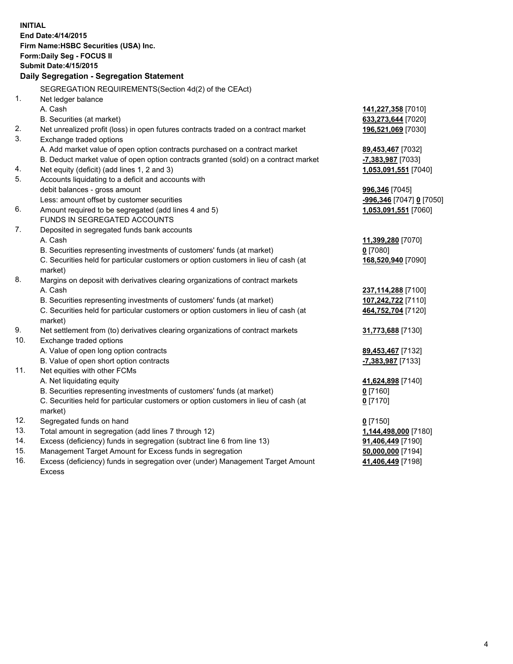| <b>INITIAL</b> | End Date: 4/14/2015<br>Firm Name: HSBC Securities (USA) Inc.<br>Form: Daily Seg - FOCUS II<br><b>Submit Date: 4/15/2015</b><br>Daily Segregation - Segregation Statement |                          |
|----------------|--------------------------------------------------------------------------------------------------------------------------------------------------------------------------|--------------------------|
| 1.             | SEGREGATION REQUIREMENTS(Section 4d(2) of the CEAct)<br>Net ledger balance                                                                                               |                          |
|                | A. Cash                                                                                                                                                                  | 141,227,358 [7010]       |
|                | B. Securities (at market)                                                                                                                                                | 633,273,644 [7020]       |
| 2.             | Net unrealized profit (loss) in open futures contracts traded on a contract market                                                                                       | 196,521,069 [7030]       |
| 3.             | Exchange traded options                                                                                                                                                  |                          |
|                | A. Add market value of open option contracts purchased on a contract market                                                                                              | 89,453,467 [7032]        |
|                | B. Deduct market value of open option contracts granted (sold) on a contract market                                                                                      | -7,383,987 [7033]        |
| 4.             | Net equity (deficit) (add lines 1, 2 and 3)                                                                                                                              | 1,053,091,551 [7040]     |
| 5.             | Accounts liquidating to a deficit and accounts with                                                                                                                      |                          |
|                | debit balances - gross amount                                                                                                                                            | 996,346 [7045]           |
|                | Less: amount offset by customer securities                                                                                                                               | -996,346 [7047] 0 [7050] |
| 6.             | Amount required to be segregated (add lines 4 and 5)                                                                                                                     | 1,053,091,551 [7060]     |
|                | FUNDS IN SEGREGATED ACCOUNTS                                                                                                                                             |                          |
| 7.             | Deposited in segregated funds bank accounts                                                                                                                              |                          |
|                | A. Cash                                                                                                                                                                  | 11,399,280 [7070]        |
|                | B. Securities representing investments of customers' funds (at market)                                                                                                   | $0$ [7080]               |
|                | C. Securities held for particular customers or option customers in lieu of cash (at<br>market)                                                                           | 168,520,940 [7090]       |
| 8.             | Margins on deposit with derivatives clearing organizations of contract markets                                                                                           |                          |
|                | A. Cash                                                                                                                                                                  | 237,114,288 [7100]       |
|                | B. Securities representing investments of customers' funds (at market)                                                                                                   | 107,242,722 [7110]       |
|                | C. Securities held for particular customers or option customers in lieu of cash (at<br>market)                                                                           | 464,752,704 [7120]       |
| 9.             | Net settlement from (to) derivatives clearing organizations of contract markets                                                                                          | 31,773,688 [7130]        |
| 10.            | Exchange traded options                                                                                                                                                  |                          |
|                | A. Value of open long option contracts                                                                                                                                   | 89,453,467 [7132]        |
|                | B. Value of open short option contracts                                                                                                                                  | -7,383,987 [7133]        |
| 11.            | Net equities with other FCMs                                                                                                                                             |                          |
|                | A. Net liquidating equity                                                                                                                                                | 41,624,898 [7140]        |
|                | B. Securities representing investments of customers' funds (at market)                                                                                                   | 0 [7160]                 |
|                | C. Securities held for particular customers or option customers in lieu of cash (at                                                                                      | $0$ [7170]               |
|                | market)                                                                                                                                                                  |                          |
| 12.            | Segregated funds on hand                                                                                                                                                 | $0$ [7150]               |
| 13.            | Total amount in segregation (add lines 7 through 12)                                                                                                                     | 1,144,498,000 [7180]     |
| 14.            | Excess (deficiency) funds in segregation (subtract line 6 from line 13)                                                                                                  | 91,406,449 [7190]        |
| 15.            | Management Target Amount for Excess funds in segregation                                                                                                                 | 50,000,000 [7194]        |
| 16.            | Excess (deficiency) funds in segregation over (under) Management Target Amount                                                                                           | 41,406,449 [7198]        |
|                | <b>Excess</b>                                                                                                                                                            |                          |